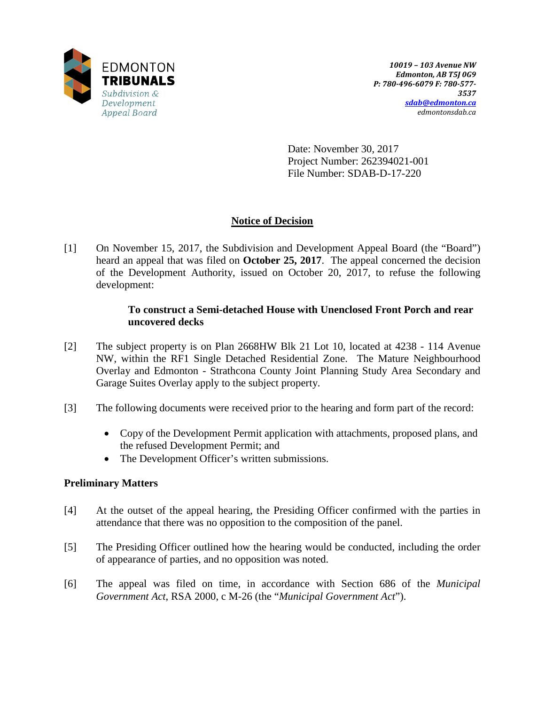

Date: November 30, 2017 Project Number: 262394021-001 File Number: SDAB-D-17-220

# **Notice of Decision**

[1] On November 15, 2017, the Subdivision and Development Appeal Board (the "Board") heard an appeal that was filed on **October 25, 2017**. The appeal concerned the decision of the Development Authority, issued on October 20, 2017, to refuse the following development:

## **To construct a Semi-detached House with Unenclosed Front Porch and rear uncovered decks**

- [2] The subject property is on Plan 2668HW Blk 21 Lot 10, located at 4238 114 Avenue NW, within the RF1 Single Detached Residential Zone. The Mature Neighbourhood Overlay and Edmonton - Strathcona County Joint Planning Study Area Secondary and Garage Suites Overlay apply to the subject property.
- [3] The following documents were received prior to the hearing and form part of the record:
	- Copy of the Development Permit application with attachments, proposed plans, and the refused Development Permit; and
	- The Development Officer's written submissions.

# **Preliminary Matters**

- [4] At the outset of the appeal hearing, the Presiding Officer confirmed with the parties in attendance that there was no opposition to the composition of the panel.
- [5] The Presiding Officer outlined how the hearing would be conducted, including the order of appearance of parties, and no opposition was noted.
- [6] The appeal was filed on time, in accordance with Section 686 of the *Municipal Government Act*, RSA 2000, c M-26 (the "*Municipal Government Act*").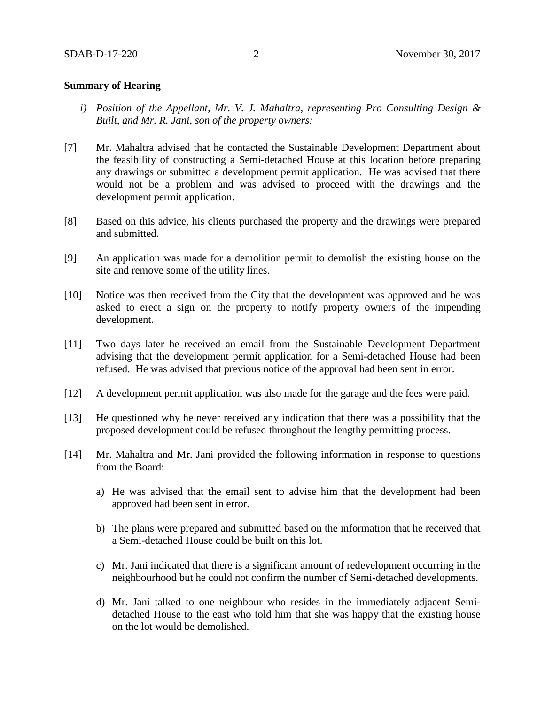### **Summary of Hearing**

- *i) Position of the Appellant, Mr. V. J. Mahaltra, representing Pro Consulting Design & Built, and Mr. R. Jani, son of the property owners:*
- [7] Mr. Mahaltra advised that he contacted the Sustainable Development Department about the feasibility of constructing a Semi-detached House at this location before preparing any drawings or submitted a development permit application. He was advised that there would not be a problem and was advised to proceed with the drawings and the development permit application.
- [8] Based on this advice, his clients purchased the property and the drawings were prepared and submitted.
- [9] An application was made for a demolition permit to demolish the existing house on the site and remove some of the utility lines.
- [10] Notice was then received from the City that the development was approved and he was asked to erect a sign on the property to notify property owners of the impending development.
- [11] Two days later he received an email from the Sustainable Development Department advising that the development permit application for a Semi-detached House had been refused. He was advised that previous notice of the approval had been sent in error.
- [12] A development permit application was also made for the garage and the fees were paid.
- [13] He questioned why he never received any indication that there was a possibility that the proposed development could be refused throughout the lengthy permitting process.
- [14] Mr. Mahaltra and Mr. Jani provided the following information in response to questions from the Board:
	- a) He was advised that the email sent to advise him that the development had been approved had been sent in error.
	- b) The plans were prepared and submitted based on the information that he received that a Semi-detached House could be built on this lot.
	- c) Mr. Jani indicated that there is a significant amount of redevelopment occurring in the neighbourhood but he could not confirm the number of Semi-detached developments.
	- d) Mr. Jani talked to one neighbour who resides in the immediately adjacent Semidetached House to the east who told him that she was happy that the existing house on the lot would be demolished.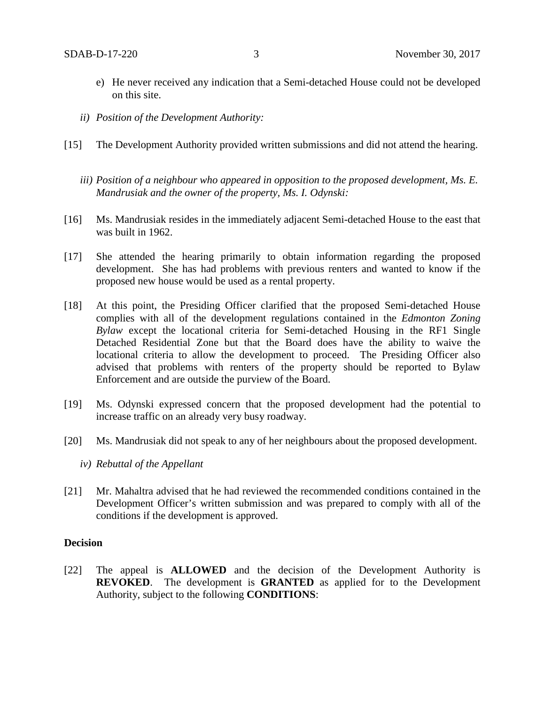- e) He never received any indication that a Semi-detached House could not be developed on this site.
- *ii) Position of the Development Authority:*
- [15] The Development Authority provided written submissions and did not attend the hearing.
	- *iii) Position of a neighbour who appeared in opposition to the proposed development, Ms. E. Mandrusiak and the owner of the property, Ms. I. Odynski:*
- [16] Ms. Mandrusiak resides in the immediately adjacent Semi-detached House to the east that was built in 1962.
- [17] She attended the hearing primarily to obtain information regarding the proposed development. She has had problems with previous renters and wanted to know if the proposed new house would be used as a rental property.
- [18] At this point, the Presiding Officer clarified that the proposed Semi-detached House complies with all of the development regulations contained in the *Edmonton Zoning Bylaw* except the locational criteria for Semi-detached Housing in the RF1 Single Detached Residential Zone but that the Board does have the ability to waive the locational criteria to allow the development to proceed. The Presiding Officer also advised that problems with renters of the property should be reported to Bylaw Enforcement and are outside the purview of the Board.
- [19] Ms. Odynski expressed concern that the proposed development had the potential to increase traffic on an already very busy roadway.
- [20] Ms. Mandrusiak did not speak to any of her neighbours about the proposed development.
	- *iv) Rebuttal of the Appellant*
- [21] Mr. Mahaltra advised that he had reviewed the recommended conditions contained in the Development Officer's written submission and was prepared to comply with all of the conditions if the development is approved.

### **Decision**

[22] The appeal is **ALLOWED** and the decision of the Development Authority is **REVOKED**. The development is **GRANTED** as applied for to the Development Authority, subject to the following **CONDITIONS**: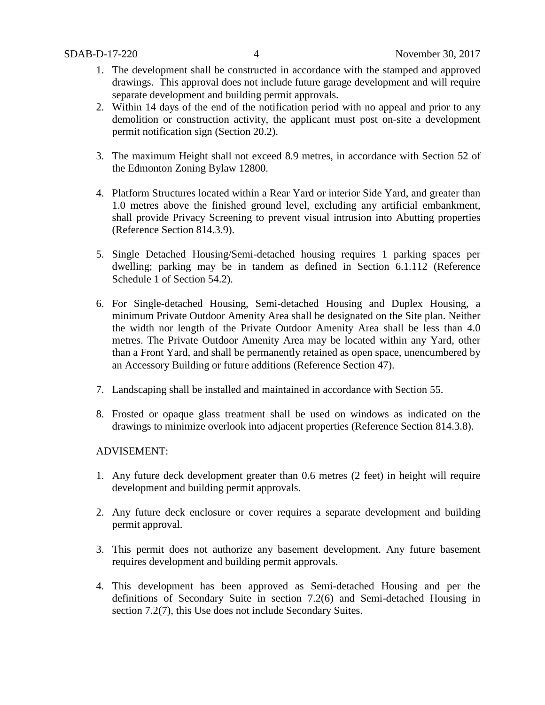- 1. The development shall be constructed in accordance with the stamped and approved drawings. This approval does not include future garage development and will require separate development and building permit approvals.
- 2. Within 14 days of the end of the notification period with no appeal and prior to any demolition or construction activity, the applicant must post on-site a development permit notification sign (Section 20.2).
- 3. The maximum Height shall not exceed 8.9 metres, in accordance with Section 52 of the Edmonton Zoning Bylaw 12800.
- 4. Platform Structures located within a Rear Yard or interior Side Yard, and greater than 1.0 metres above the finished ground level, excluding any artificial embankment, shall provide Privacy Screening to prevent visual intrusion into Abutting properties (Reference Section 814.3.9).
- 5. Single Detached Housing/Semi-detached housing requires 1 parking spaces per dwelling; parking may be in tandem as defined in Section 6.1.112 (Reference Schedule 1 of Section 54.2).
- 6. For Single-detached Housing, Semi-detached Housing and Duplex Housing, a minimum Private Outdoor Amenity Area shall be designated on the Site plan. Neither the width nor length of the Private Outdoor Amenity Area shall be less than 4.0 metres. The Private Outdoor Amenity Area may be located within any Yard, other than a Front Yard, and shall be permanently retained as open space, unencumbered by an Accessory Building or future additions (Reference Section 47).
- 7. Landscaping shall be installed and maintained in accordance with Section 55.
- 8. Frosted or opaque glass treatment shall be used on windows as indicated on the drawings to minimize overlook into adjacent properties (Reference Section 814.3.8).

## ADVISEMENT:

- 1. Any future deck development greater than 0.6 metres (2 feet) in height will require development and building permit approvals.
- 2. Any future deck enclosure or cover requires a separate development and building permit approval.
- 3. This permit does not authorize any basement development. Any future basement requires development and building permit approvals.
- 4. This development has been approved as Semi-detached Housing and per the definitions of Secondary Suite in section 7.2(6) and Semi-detached Housing in section 7.2(7), this Use does not include Secondary Suites.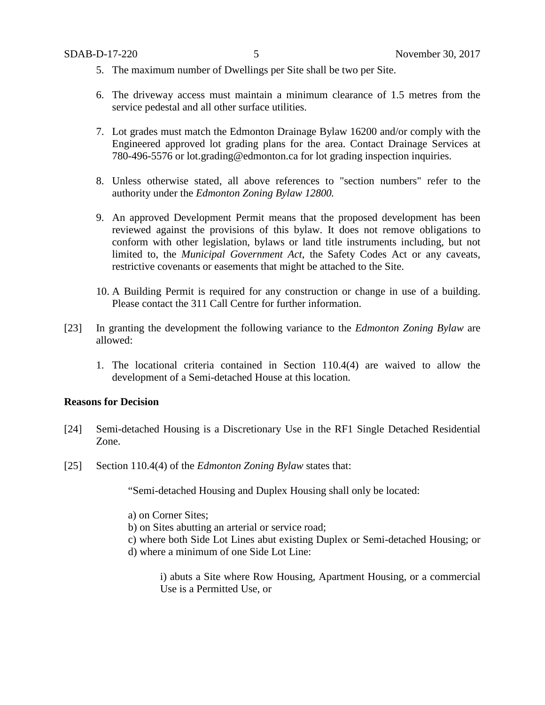- 5. The maximum number of Dwellings per Site shall be two per Site.
- 6. The driveway access must maintain a minimum clearance of 1.5 metres from the service pedestal and all other surface utilities.
- 7. Lot grades must match the Edmonton Drainage Bylaw 16200 and/or comply with the Engineered approved lot grading plans for the area. Contact Drainage Services at 780-496-5576 or lot.grading@edmonton.ca for lot grading inspection inquiries.
- 8. Unless otherwise stated, all above references to "section numbers" refer to the authority under the *Edmonton Zoning Bylaw 12800.*
- 9. An approved Development Permit means that the proposed development has been reviewed against the provisions of this bylaw. It does not remove obligations to conform with other legislation, bylaws or land title instruments including, but not limited to, the *Municipal Government Act*, the Safety Codes Act or any caveats, restrictive covenants or easements that might be attached to the Site.
- 10. A Building Permit is required for any construction or change in use of a building. Please contact the 311 Call Centre for further information.
- [23] In granting the development the following variance to the *Edmonton Zoning Bylaw* are allowed:
	- 1. The locational criteria contained in Section 110.4(4) are waived to allow the development of a Semi-detached House at this location.

## **Reasons for Decision**

- [24] Semi-detached Housing is a Discretionary Use in the RF1 Single Detached Residential Zone.
- [25] Section 110.4(4) of the *Edmonton Zoning Bylaw* states that:

"Semi-detached Housing and Duplex Housing shall only be located:

a) on Corner Sites;

- b) on Sites abutting an arterial or service road;
- c) where both Side Lot Lines abut existing Duplex or Semi-detached Housing; or d) where a minimum of one Side Lot Line:

i) abuts a Site where Row Housing, Apartment Housing, or a commercial Use is a Permitted Use, or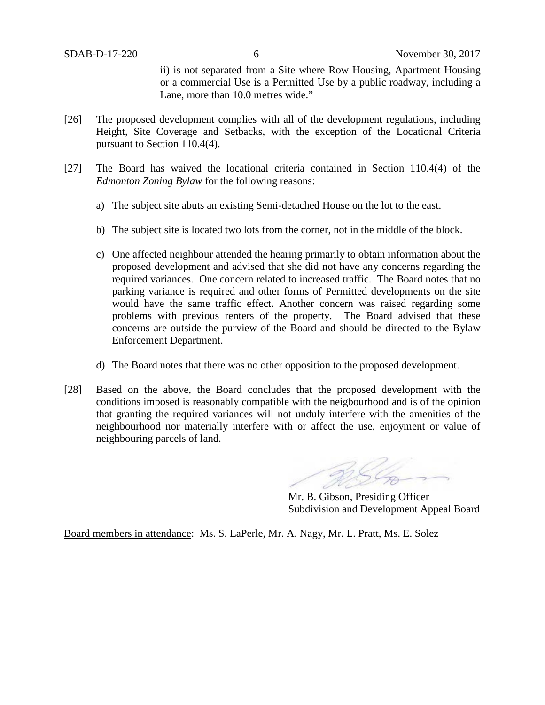ii) is not separated from a Site where Row Housing, Apartment Housing or a commercial Use is a Permitted Use by a public roadway, including a Lane, more than 10.0 metres wide."

- [26] The proposed development complies with all of the development regulations, including Height, Site Coverage and Setbacks, with the exception of the Locational Criteria pursuant to Section 110.4(4).
- [27] The Board has waived the locational criteria contained in Section 110.4(4) of the *Edmonton Zoning Bylaw* for the following reasons:
	- a) The subject site abuts an existing Semi-detached House on the lot to the east.
	- b) The subject site is located two lots from the corner, not in the middle of the block.
	- c) One affected neighbour attended the hearing primarily to obtain information about the proposed development and advised that she did not have any concerns regarding the required variances. One concern related to increased traffic. The Board notes that no parking variance is required and other forms of Permitted developments on the site would have the same traffic effect. Another concern was raised regarding some problems with previous renters of the property. The Board advised that these concerns are outside the purview of the Board and should be directed to the Bylaw Enforcement Department.
	- d) The Board notes that there was no other opposition to the proposed development.
- [28] Based on the above, the Board concludes that the proposed development with the conditions imposed is reasonably compatible with the neigbourhood and is of the opinion that granting the required variances will not unduly interfere with the amenities of the neighbourhood nor materially interfere with or affect the use, enjoyment or value of neighbouring parcels of land.

Mr. B. Gibson, Presiding Officer Subdivision and Development Appeal Board

Board members in attendance: Ms. S. LaPerle, Mr. A. Nagy, Mr. L. Pratt, Ms. E. Solez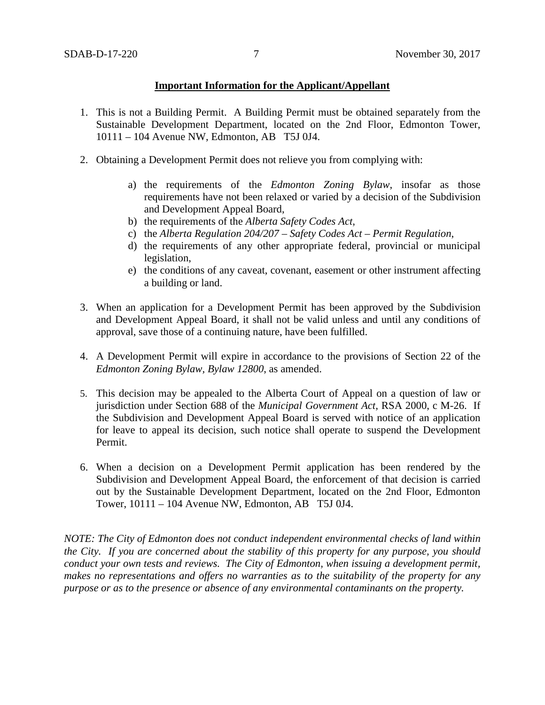## **Important Information for the Applicant/Appellant**

- 1. This is not a Building Permit. A Building Permit must be obtained separately from the Sustainable Development Department, located on the 2nd Floor, Edmonton Tower, 10111 – 104 Avenue NW, Edmonton, AB T5J 0J4.
- 2. Obtaining a Development Permit does not relieve you from complying with:
	- a) the requirements of the *Edmonton Zoning Bylaw*, insofar as those requirements have not been relaxed or varied by a decision of the Subdivision and Development Appeal Board,
	- b) the requirements of the *Alberta Safety Codes Act*,
	- c) the *Alberta Regulation 204/207 – Safety Codes Act – Permit Regulation*,
	- d) the requirements of any other appropriate federal, provincial or municipal legislation,
	- e) the conditions of any caveat, covenant, easement or other instrument affecting a building or land.
- 3. When an application for a Development Permit has been approved by the Subdivision and Development Appeal Board, it shall not be valid unless and until any conditions of approval, save those of a continuing nature, have been fulfilled.
- 4. A Development Permit will expire in accordance to the provisions of Section 22 of the *Edmonton Zoning Bylaw, Bylaw 12800*, as amended.
- 5. This decision may be appealed to the Alberta Court of Appeal on a question of law or jurisdiction under Section 688 of the *Municipal Government Act*, RSA 2000, c M-26. If the Subdivision and Development Appeal Board is served with notice of an application for leave to appeal its decision, such notice shall operate to suspend the Development Permit.
- 6. When a decision on a Development Permit application has been rendered by the Subdivision and Development Appeal Board, the enforcement of that decision is carried out by the Sustainable Development Department, located on the 2nd Floor, Edmonton Tower, 10111 – 104 Avenue NW, Edmonton, AB T5J 0J4.

*NOTE: The City of Edmonton does not conduct independent environmental checks of land within the City. If you are concerned about the stability of this property for any purpose, you should conduct your own tests and reviews. The City of Edmonton, when issuing a development permit, makes no representations and offers no warranties as to the suitability of the property for any purpose or as to the presence or absence of any environmental contaminants on the property.*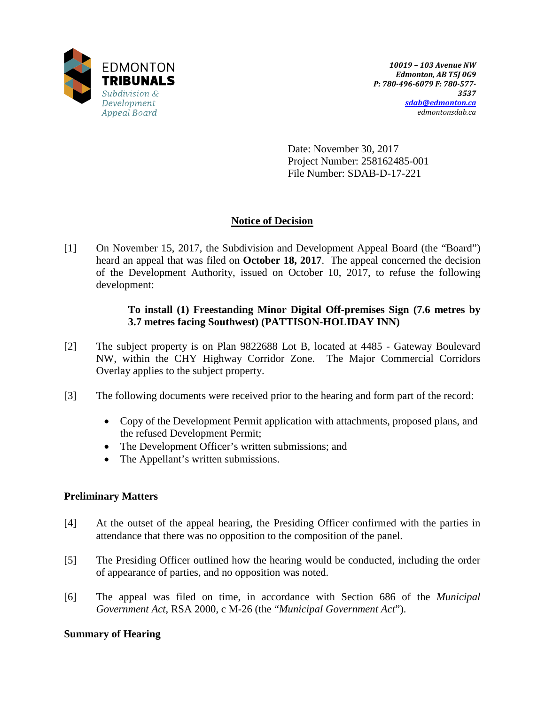

Date: November 30, 2017 Project Number: 258162485-001 File Number: SDAB-D-17-221

# **Notice of Decision**

[1] On November 15, 2017, the Subdivision and Development Appeal Board (the "Board") heard an appeal that was filed on **October 18, 2017**. The appeal concerned the decision of the Development Authority, issued on October 10, 2017, to refuse the following development:

# **To install (1) Freestanding Minor Digital Off-premises Sign (7.6 metres by 3.7 metres facing Southwest) (PATTISON-HOLIDAY INN)**

- [2] The subject property is on Plan 9822688 Lot B, located at 4485 Gateway Boulevard NW, within the CHY Highway Corridor Zone. The Major Commercial Corridors Overlay applies to the subject property.
- [3] The following documents were received prior to the hearing and form part of the record:
	- Copy of the Development Permit application with attachments, proposed plans, and the refused Development Permit;
	- The Development Officer's written submissions; and
	- The Appellant's written submissions.

# **Preliminary Matters**

- [4] At the outset of the appeal hearing, the Presiding Officer confirmed with the parties in attendance that there was no opposition to the composition of the panel.
- [5] The Presiding Officer outlined how the hearing would be conducted, including the order of appearance of parties, and no opposition was noted.
- [6] The appeal was filed on time, in accordance with Section 686 of the *Municipal Government Act*, RSA 2000, c M-26 (the "*Municipal Government Act*").

# **Summary of Hearing**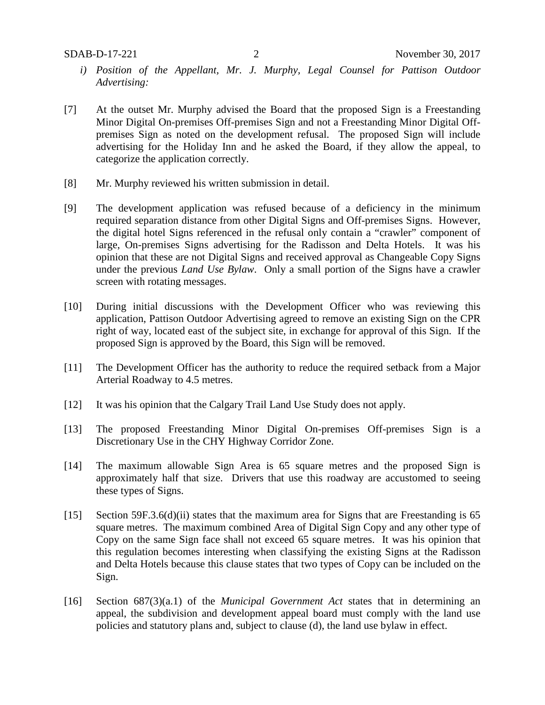- *i) Position of the Appellant, Mr. J. Murphy, Legal Counsel for Pattison Outdoor Advertising:*
- [7] At the outset Mr. Murphy advised the Board that the proposed Sign is a Freestanding Minor Digital On-premises Off-premises Sign and not a Freestanding Minor Digital Offpremises Sign as noted on the development refusal. The proposed Sign will include advertising for the Holiday Inn and he asked the Board, if they allow the appeal, to categorize the application correctly.
- [8] Mr. Murphy reviewed his written submission in detail.
- [9] The development application was refused because of a deficiency in the minimum required separation distance from other Digital Signs and Off-premises Signs. However, the digital hotel Signs referenced in the refusal only contain a "crawler" component of large, On-premises Signs advertising for the Radisson and Delta Hotels. It was his opinion that these are not Digital Signs and received approval as Changeable Copy Signs under the previous *Land Use Bylaw*. Only a small portion of the Signs have a crawler screen with rotating messages.
- [10] During initial discussions with the Development Officer who was reviewing this application, Pattison Outdoor Advertising agreed to remove an existing Sign on the CPR right of way, located east of the subject site, in exchange for approval of this Sign. If the proposed Sign is approved by the Board, this Sign will be removed.
- [11] The Development Officer has the authority to reduce the required setback from a Major Arterial Roadway to 4.5 metres.
- [12] It was his opinion that the Calgary Trail Land Use Study does not apply.
- [13] The proposed Freestanding Minor Digital On-premises Off-premises Sign is a Discretionary Use in the CHY Highway Corridor Zone.
- [14] The maximum allowable Sign Area is 65 square metres and the proposed Sign is approximately half that size. Drivers that use this roadway are accustomed to seeing these types of Signs.
- [15] Section 59F.3.6(d)(ii) states that the maximum area for Signs that are Freestanding is 65 square metres. The maximum combined Area of Digital Sign Copy and any other type of Copy on the same Sign face shall not exceed 65 square metres. It was his opinion that this regulation becomes interesting when classifying the existing Signs at the Radisson and Delta Hotels because this clause states that two types of Copy can be included on the Sign.
- [16] Section 687(3)(a.1) of the *Municipal Government Act* states that in determining an appeal, the subdivision and development appeal board must comply with the land use policies and statutory plans and, subject to clause (d), the land use bylaw in effect.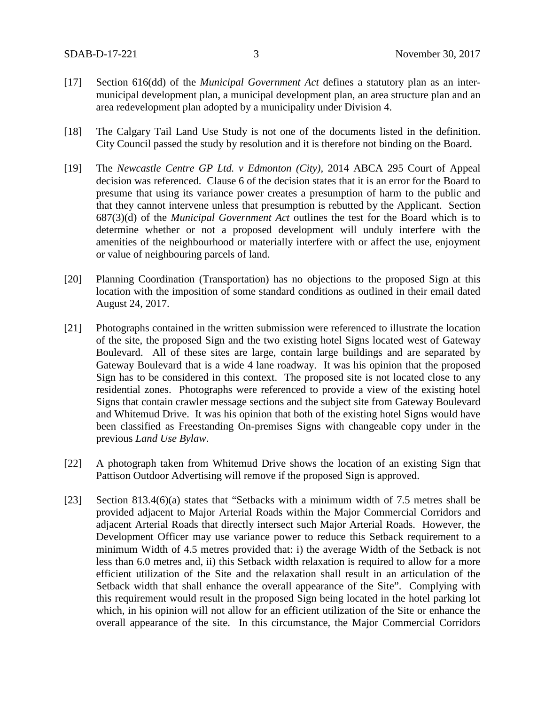- [17] Section 616(dd) of the *Municipal Government Act* defines a statutory plan as an intermunicipal development plan, a municipal development plan, an area structure plan and an area redevelopment plan adopted by a municipality under Division 4.
- [18] The Calgary Tail Land Use Study is not one of the documents listed in the definition. City Council passed the study by resolution and it is therefore not binding on the Board.
- [19] The *Newcastle Centre GP Ltd. v Edmonton (City),* 2014 ABCA 295 Court of Appeal decision was referenced. Clause 6 of the decision states that it is an error for the Board to presume that using its variance power creates a presumption of harm to the public and that they cannot intervene unless that presumption is rebutted by the Applicant. Section 687(3)(d) of the *Municipal Government Act* outlines the test for the Board which is to determine whether or not a proposed development will unduly interfere with the amenities of the neighbourhood or materially interfere with or affect the use, enjoyment or value of neighbouring parcels of land.
- [20] Planning Coordination (Transportation) has no objections to the proposed Sign at this location with the imposition of some standard conditions as outlined in their email dated August 24, 2017.
- [21] Photographs contained in the written submission were referenced to illustrate the location of the site, the proposed Sign and the two existing hotel Signs located west of Gateway Boulevard. All of these sites are large, contain large buildings and are separated by Gateway Boulevard that is a wide 4 lane roadway. It was his opinion that the proposed Sign has to be considered in this context. The proposed site is not located close to any residential zones. Photographs were referenced to provide a view of the existing hotel Signs that contain crawler message sections and the subject site from Gateway Boulevard and Whitemud Drive. It was his opinion that both of the existing hotel Signs would have been classified as Freestanding On-premises Signs with changeable copy under in the previous *Land Use Bylaw*.
- [22] A photograph taken from Whitemud Drive shows the location of an existing Sign that Pattison Outdoor Advertising will remove if the proposed Sign is approved.
- [23] Section 813.4(6)(a) states that "Setbacks with a minimum width of 7.5 metres shall be provided adjacent to Major Arterial Roads within the Major Commercial Corridors and adjacent Arterial Roads that directly intersect such Major Arterial Roads. However, the Development Officer may use variance power to reduce this Setback requirement to a minimum Width of 4.5 metres provided that: i) the average Width of the Setback is not less than 6.0 metres and, ii) this Setback width relaxation is required to allow for a more efficient utilization of the Site and the relaxation shall result in an articulation of the Setback width that shall enhance the overall appearance of the Site". Complying with this requirement would result in the proposed Sign being located in the hotel parking lot which, in his opinion will not allow for an efficient utilization of the Site or enhance the overall appearance of the site. In this circumstance, the Major Commercial Corridors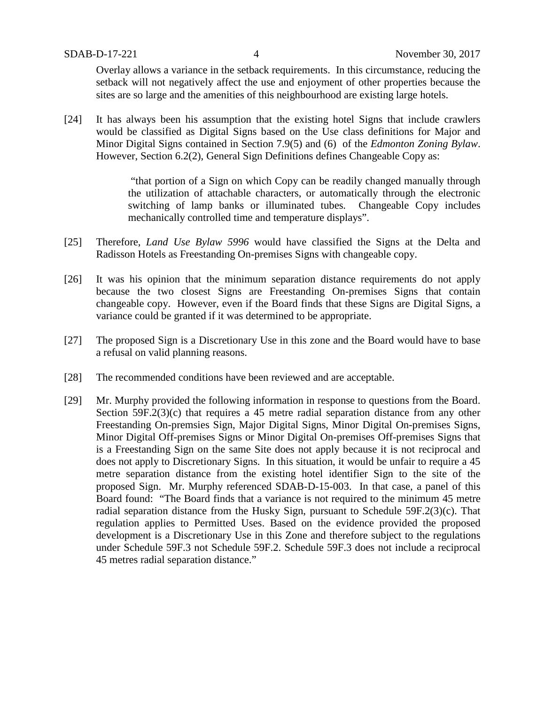Overlay allows a variance in the setback requirements. In this circumstance, reducing the setback will not negatively affect the use and enjoyment of other properties because the sites are so large and the amenities of this neighbourhood are existing large hotels.

[24] It has always been his assumption that the existing hotel Signs that include crawlers would be classified as Digital Signs based on the Use class definitions for Major and Minor Digital Signs contained in Section 7.9(5) and (6) of the *Edmonton Zoning Bylaw*. However, Section 6.2(2), General Sign Definitions defines Changeable Copy as:

> "that portion of a Sign on which Copy can be readily changed manually through the utilization of attachable characters, or automatically through the electronic switching of lamp banks or illuminated tubes. Changeable Copy includes mechanically controlled time and temperature displays".

- [25] Therefore, *Land Use Bylaw 5996* would have classified the Signs at the Delta and Radisson Hotels as Freestanding On-premises Signs with changeable copy.
- [26] It was his opinion that the minimum separation distance requirements do not apply because the two closest Signs are Freestanding On-premises Signs that contain changeable copy. However, even if the Board finds that these Signs are Digital Signs, a variance could be granted if it was determined to be appropriate.
- [27] The proposed Sign is a Discretionary Use in this zone and the Board would have to base a refusal on valid planning reasons.
- [28] The recommended conditions have been reviewed and are acceptable.
- [29] Mr. Murphy provided the following information in response to questions from the Board. Section 59F.2(3)(c) that requires a 45 metre radial separation distance from any other Freestanding On-premsies Sign, Major Digital Signs, Minor Digital On-premises Signs, Minor Digital Off-premises Signs or Minor Digital On-premises Off-premises Signs that is a Freestanding Sign on the same Site does not apply because it is not reciprocal and does not apply to Discretionary Signs. In this situation, it would be unfair to require a 45 metre separation distance from the existing hotel identifier Sign to the site of the proposed Sign. Mr. Murphy referenced SDAB-D-15-003. In that case, a panel of this Board found: "The Board finds that a variance is not required to the minimum 45 metre radial separation distance from the Husky Sign, pursuant to Schedule 59F.2(3)(c). That regulation applies to Permitted Uses. Based on the evidence provided the proposed development is a Discretionary Use in this Zone and therefore subject to the regulations under Schedule 59F.3 not Schedule 59F.2. Schedule 59F.3 does not include a reciprocal 45 metres radial separation distance."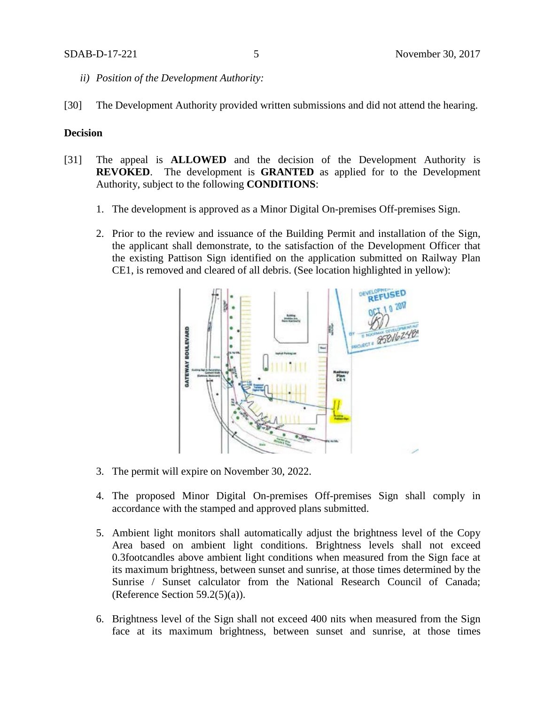- *ii) Position of the Development Authority:*
- [30] The Development Authority provided written submissions and did not attend the hearing.

## **Decision**

- [31] The appeal is **ALLOWED** and the decision of the Development Authority is **REVOKED**. The development is **GRANTED** as applied for to the Development Authority, subject to the following **CONDITIONS**:
	- 1. The development is approved as a Minor Digital On-premises Off-premises Sign.
	- 2. Prior to the review and issuance of the Building Permit and installation of the Sign, the applicant shall demonstrate, to the satisfaction of the Development Officer that the existing Pattison Sign identified on the application submitted on Railway Plan CE1, is removed and cleared of all debris. (See location highlighted in yellow):



- 3. The permit will expire on November 30, 2022.
- 4. The proposed Minor Digital On-premises Off-premises Sign shall comply in accordance with the stamped and approved plans submitted.
- 5. Ambient light monitors shall automatically adjust the brightness level of the Copy Area based on ambient light conditions. Brightness levels shall not exceed 0.3footcandles above ambient light conditions when measured from the Sign face at its maximum brightness, between sunset and sunrise, at those times determined by the Sunrise / Sunset calculator from the National Research Council of Canada; (Reference Section  $59.2(5)(a)$ ).
- 6. Brightness level of the Sign shall not exceed 400 nits when measured from the Sign face at its maximum brightness, between sunset and sunrise, at those times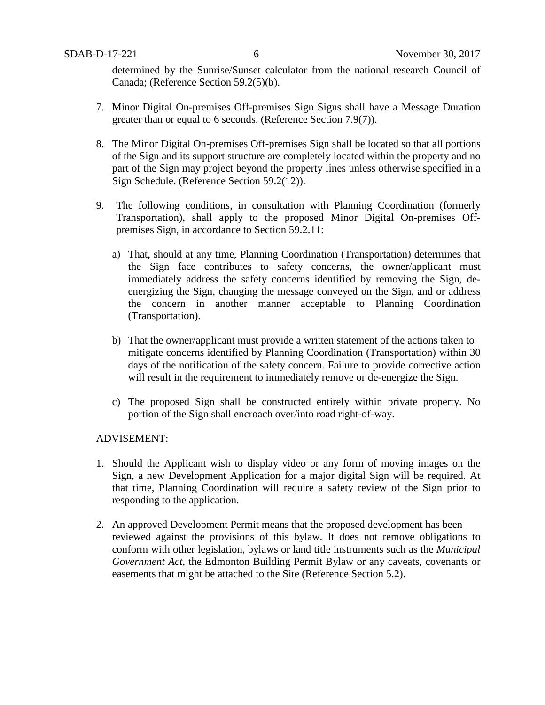determined by the Sunrise/Sunset calculator from the national research Council of Canada; (Reference Section 59.2(5)(b).

- 7. Minor Digital On-premises Off-premises Sign Signs shall have a Message Duration greater than or equal to 6 seconds. (Reference Section 7.9(7)).
- 8. The Minor Digital On-premises Off-premises Sign shall be located so that all portions of the Sign and its support structure are completely located within the property and no part of the Sign may project beyond the property lines unless otherwise specified in a Sign Schedule. (Reference Section 59.2(12)).
- 9. The following conditions, in consultation with Planning Coordination (formerly Transportation), shall apply to the proposed Minor Digital On-premises Offpremises Sign, in accordance to Section 59.2.11:
	- a) That, should at any time, Planning Coordination (Transportation) determines that the Sign face contributes to safety concerns, the owner/applicant must immediately address the safety concerns identified by removing the Sign, deenergizing the Sign, changing the message conveyed on the Sign, and or address the concern in another manner acceptable to Planning Coordination (Transportation).
	- b) That the owner/applicant must provide a written statement of the actions taken to mitigate concerns identified by Planning Coordination (Transportation) within 30 days of the notification of the safety concern. Failure to provide corrective action will result in the requirement to immediately remove or de-energize the Sign.
	- c) The proposed Sign shall be constructed entirely within private property. No portion of the Sign shall encroach over/into road right-of-way.

## ADVISEMENT:

- 1. Should the Applicant wish to display video or any form of moving images on the Sign, a new Development Application for a major digital Sign will be required. At that time, Planning Coordination will require a safety review of the Sign prior to responding to the application.
- 2. An approved Development Permit means that the proposed development has been reviewed against the provisions of this bylaw. It does not remove obligations to conform with other legislation, bylaws or land title instruments such as the *Municipal Government Act*, the Edmonton Building Permit Bylaw or any caveats, covenants or easements that might be attached to the Site (Reference Section 5.2).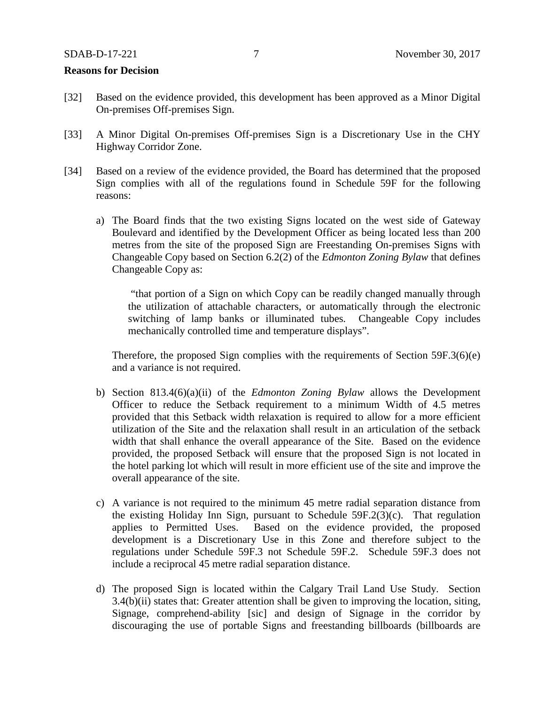#### **Reasons for Decision**

- [32] Based on the evidence provided, this development has been approved as a Minor Digital On-premises Off-premises Sign.
- [33] A Minor Digital On-premises Off-premises Sign is a Discretionary Use in the CHY Highway Corridor Zone.
- [34] Based on a review of the evidence provided, the Board has determined that the proposed Sign complies with all of the regulations found in Schedule 59F for the following reasons:
	- a) The Board finds that the two existing Signs located on the west side of Gateway Boulevard and identified by the Development Officer as being located less than 200 metres from the site of the proposed Sign are Freestanding On-premises Signs with Changeable Copy based on Section 6.2(2) of the *Edmonton Zoning Bylaw* that defines Changeable Copy as:

"that portion of a Sign on which Copy can be readily changed manually through the utilization of attachable characters, or automatically through the electronic switching of lamp banks or illuminated tubes. Changeable Copy includes mechanically controlled time and temperature displays".

Therefore, the proposed Sign complies with the requirements of Section 59F.3(6)(e) and a variance is not required.

- b) Section 813.4(6)(a)(ii) of the *Edmonton Zoning Bylaw* allows the Development Officer to reduce the Setback requirement to a minimum Width of 4.5 metres provided that this Setback width relaxation is required to allow for a more efficient utilization of the Site and the relaxation shall result in an articulation of the setback width that shall enhance the overall appearance of the Site. Based on the evidence provided, the proposed Setback will ensure that the proposed Sign is not located in the hotel parking lot which will result in more efficient use of the site and improve the overall appearance of the site.
- c) A variance is not required to the minimum 45 metre radial separation distance from the existing Holiday Inn Sign, pursuant to Schedule 59F.2(3)(c). That regulation applies to Permitted Uses. Based on the evidence provided, the proposed development is a Discretionary Use in this Zone and therefore subject to the regulations under Schedule 59F.3 not Schedule 59F.2. Schedule 59F.3 does not include a reciprocal 45 metre radial separation distance.
- d) The proposed Sign is located within the Calgary Trail Land Use Study. Section 3.4(b)(ii) states that: Greater attention shall be given to improving the location, siting, Signage, comprehend-ability [sic] and design of Signage in the corridor by discouraging the use of portable Signs and freestanding billboards (billboards are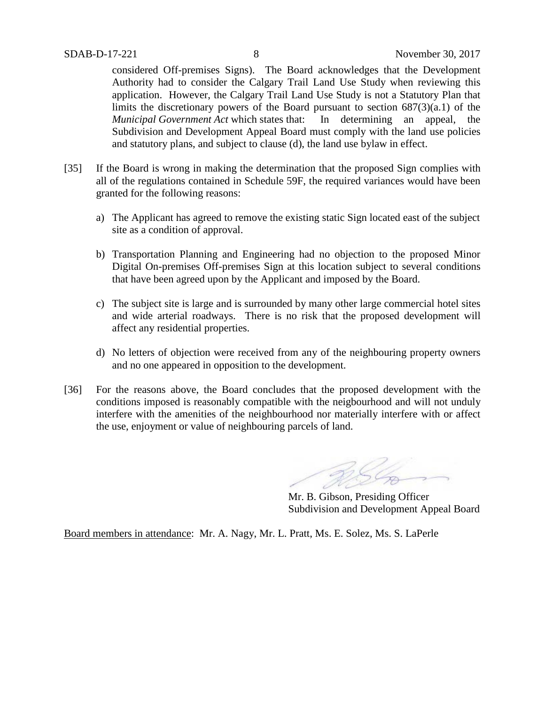considered Off-premises Signs). The Board acknowledges that the Development Authority had to consider the Calgary Trail Land Use Study when reviewing this application. However, the Calgary Trail Land Use Study is not a Statutory Plan that limits the discretionary powers of the Board pursuant to section 687(3)(a.1) of the *Municipal Government Act* which states that: In determining an appeal, the Subdivision and Development Appeal Board must comply with the land use policies and statutory plans, and subject to clause (d), the land use bylaw in effect.

- [35] If the Board is wrong in making the determination that the proposed Sign complies with all of the regulations contained in Schedule 59F, the required variances would have been granted for the following reasons:
	- a) The Applicant has agreed to remove the existing static Sign located east of the subject site as a condition of approval.
	- b) Transportation Planning and Engineering had no objection to the proposed Minor Digital On-premises Off-premises Sign at this location subject to several conditions that have been agreed upon by the Applicant and imposed by the Board.
	- c) The subject site is large and is surrounded by many other large commercial hotel sites and wide arterial roadways. There is no risk that the proposed development will affect any residential properties.
	- d) No letters of objection were received from any of the neighbouring property owners and no one appeared in opposition to the development.
- [36] For the reasons above, the Board concludes that the proposed development with the conditions imposed is reasonably compatible with the neigbourhood and will not unduly interfere with the amenities of the neighbourhood nor materially interfere with or affect the use, enjoyment or value of neighbouring parcels of land.

Mr. B. Gibson, Presiding Officer Subdivision and Development Appeal Board

Board members in attendance: Mr. A. Nagy, Mr. L. Pratt, Ms. E. Solez, Ms. S. LaPerle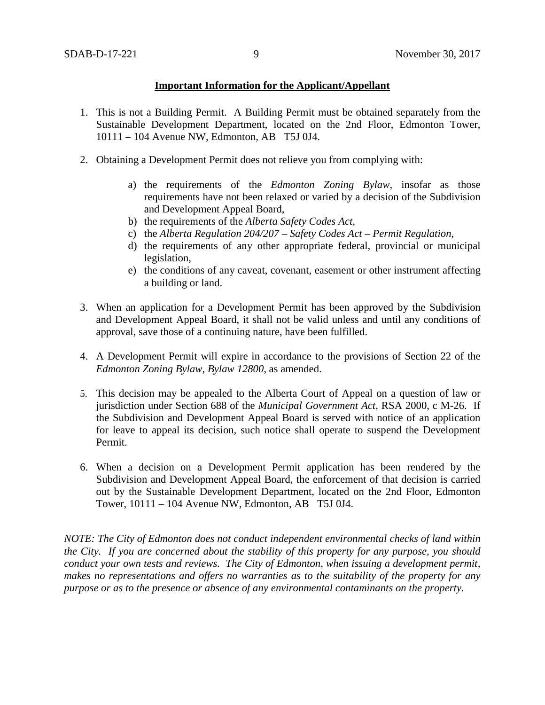## **Important Information for the Applicant/Appellant**

- 1. This is not a Building Permit. A Building Permit must be obtained separately from the Sustainable Development Department, located on the 2nd Floor, Edmonton Tower, 10111 – 104 Avenue NW, Edmonton, AB T5J 0J4.
- 2. Obtaining a Development Permit does not relieve you from complying with:
	- a) the requirements of the *Edmonton Zoning Bylaw*, insofar as those requirements have not been relaxed or varied by a decision of the Subdivision and Development Appeal Board,
	- b) the requirements of the *Alberta Safety Codes Act*,
	- c) the *Alberta Regulation 204/207 – Safety Codes Act – Permit Regulation*,
	- d) the requirements of any other appropriate federal, provincial or municipal legislation,
	- e) the conditions of any caveat, covenant, easement or other instrument affecting a building or land.
- 3. When an application for a Development Permit has been approved by the Subdivision and Development Appeal Board, it shall not be valid unless and until any conditions of approval, save those of a continuing nature, have been fulfilled.
- 4. A Development Permit will expire in accordance to the provisions of Section 22 of the *Edmonton Zoning Bylaw, Bylaw 12800*, as amended.
- 5. This decision may be appealed to the Alberta Court of Appeal on a question of law or jurisdiction under Section 688 of the *Municipal Government Act*, RSA 2000, c M-26. If the Subdivision and Development Appeal Board is served with notice of an application for leave to appeal its decision, such notice shall operate to suspend the Development Permit.
- 6. When a decision on a Development Permit application has been rendered by the Subdivision and Development Appeal Board, the enforcement of that decision is carried out by the Sustainable Development Department, located on the 2nd Floor, Edmonton Tower, 10111 – 104 Avenue NW, Edmonton, AB T5J 0J4.

*NOTE: The City of Edmonton does not conduct independent environmental checks of land within the City. If you are concerned about the stability of this property for any purpose, you should conduct your own tests and reviews. The City of Edmonton, when issuing a development permit, makes no representations and offers no warranties as to the suitability of the property for any purpose or as to the presence or absence of any environmental contaminants on the property.*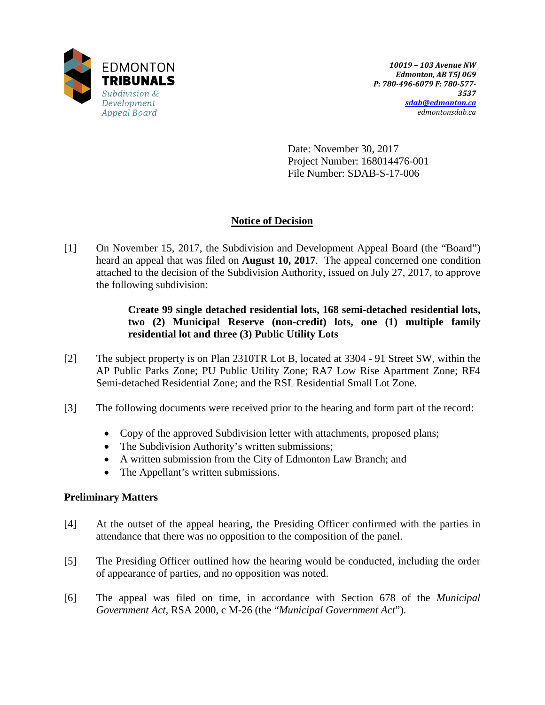

Date: November 30, 2017 Project Number: 168014476-001 File Number: SDAB-S-17-006

# **Notice of Decision**

[1] On November 15, 2017, the Subdivision and Development Appeal Board (the "Board") heard an appeal that was filed on **August 10, 2017**. The appeal concerned one condition attached to the decision of the Subdivision Authority, issued on July 27, 2017, to approve the following subdivision:

> **Create 99 single detached residential lots, 168 semi-detached residential lots, two (2) Municipal Reserve (non-credit) lots, one (1) multiple family residential lot and three (3) Public Utility Lots**

- [2] The subject property is on Plan 2310TR Lot B, located at 3304 91 Street SW, within the AP Public Parks Zone; PU Public Utility Zone; RA7 Low Rise Apartment Zone; RF4 Semi-detached Residential Zone; and the RSL Residential Small Lot Zone.
- [3] The following documents were received prior to the hearing and form part of the record:
	- Copy of the approved Subdivision letter with attachments, proposed plans;
	- The Subdivision Authority's written submissions;
	- A written submission from the City of Edmonton Law Branch; and
	- The Appellant's written submissions.

# **Preliminary Matters**

- [4] At the outset of the appeal hearing, the Presiding Officer confirmed with the parties in attendance that there was no opposition to the composition of the panel.
- [5] The Presiding Officer outlined how the hearing would be conducted, including the order of appearance of parties, and no opposition was noted.
- [6] The appeal was filed on time, in accordance with Section 678 of the *Municipal Government Act,* RSA 2000, c M-26 (the "*Municipal Government Act*").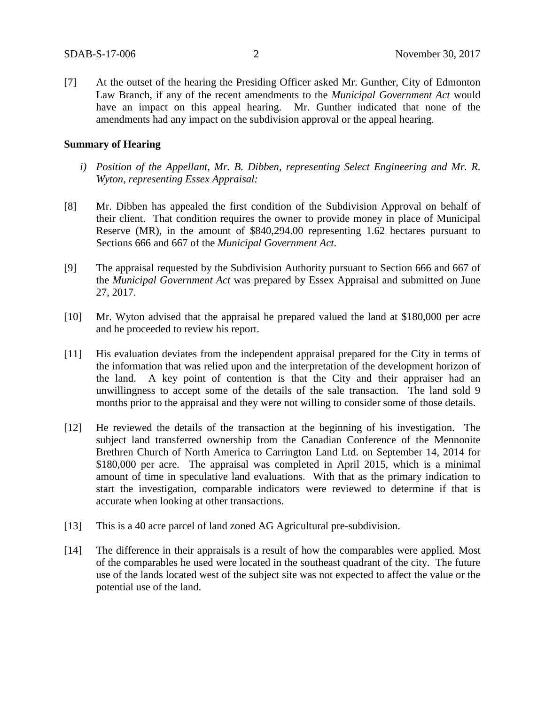[7] At the outset of the hearing the Presiding Officer asked Mr. Gunther, City of Edmonton Law Branch, if any of the recent amendments to the *Municipal Government Act* would have an impact on this appeal hearing. Mr. Gunther indicated that none of the amendments had any impact on the subdivision approval or the appeal hearing.

## **Summary of Hearing**

- *i) Position of the Appellant, Mr. B. Dibben, representing Select Engineering and Mr. R. Wyton, representing Essex Appraisal:*
- [8] Mr. Dibben has appealed the first condition of the Subdivision Approval on behalf of their client. That condition requires the owner to provide money in place of Municipal Reserve (MR), in the amount of \$840,294.00 representing 1.62 hectares pursuant to Sections 666 and 667 of the *Municipal Government Act*.
- [9] The appraisal requested by the Subdivision Authority pursuant to Section 666 and 667 of the *Municipal Government Act* was prepared by Essex Appraisal and submitted on June 27, 2017.
- [10] Mr. Wyton advised that the appraisal he prepared valued the land at \$180,000 per acre and he proceeded to review his report.
- [11] His evaluation deviates from the independent appraisal prepared for the City in terms of the information that was relied upon and the interpretation of the development horizon of the land. A key point of contention is that the City and their appraiser had an unwillingness to accept some of the details of the sale transaction. The land sold 9 months prior to the appraisal and they were not willing to consider some of those details.
- [12] He reviewed the details of the transaction at the beginning of his investigation. The subject land transferred ownership from the Canadian Conference of the Mennonite Brethren Church of North America to Carrington Land Ltd. on September 14, 2014 for \$180,000 per acre. The appraisal was completed in April 2015, which is a minimal amount of time in speculative land evaluations. With that as the primary indication to start the investigation, comparable indicators were reviewed to determine if that is accurate when looking at other transactions.
- [13] This is a 40 acre parcel of land zoned AG Agricultural pre-subdivision.
- [14] The difference in their appraisals is a result of how the comparables were applied. Most of the comparables he used were located in the southeast quadrant of the city. The future use of the lands located west of the subject site was not expected to affect the value or the potential use of the land.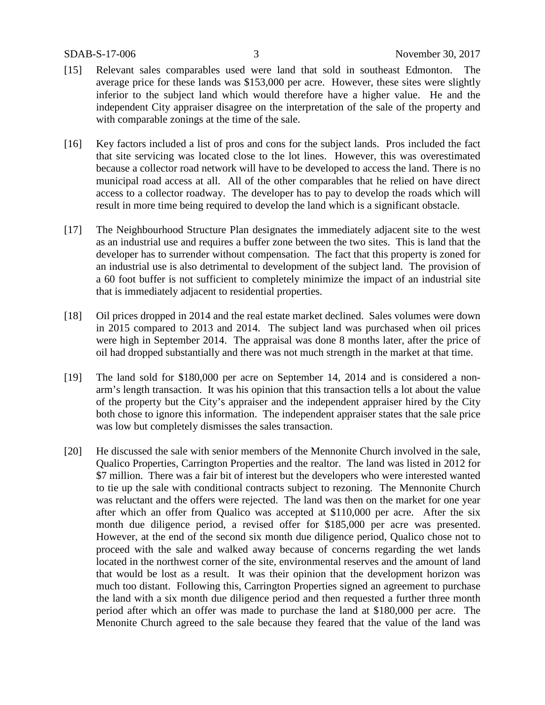- [15] Relevant sales comparables used were land that sold in southeast Edmonton. The average price for these lands was \$153,000 per acre. However, these sites were slightly inferior to the subject land which would therefore have a higher value. He and the independent City appraiser disagree on the interpretation of the sale of the property and with comparable zonings at the time of the sale.
- [16] Key factors included a list of pros and cons for the subject lands. Pros included the fact that site servicing was located close to the lot lines. However, this was overestimated because a collector road network will have to be developed to access the land. There is no municipal road access at all. All of the other comparables that he relied on have direct access to a collector roadway. The developer has to pay to develop the roads which will result in more time being required to develop the land which is a significant obstacle.
- [17] The Neighbourhood Structure Plan designates the immediately adjacent site to the west as an industrial use and requires a buffer zone between the two sites. This is land that the developer has to surrender without compensation. The fact that this property is zoned for an industrial use is also detrimental to development of the subject land. The provision of a 60 foot buffer is not sufficient to completely minimize the impact of an industrial site that is immediately adjacent to residential properties.
- [18] Oil prices dropped in 2014 and the real estate market declined. Sales volumes were down in 2015 compared to 2013 and 2014. The subject land was purchased when oil prices were high in September 2014. The appraisal was done 8 months later, after the price of oil had dropped substantially and there was not much strength in the market at that time.
- [19] The land sold for \$180,000 per acre on September 14, 2014 and is considered a nonarm's length transaction. It was his opinion that this transaction tells a lot about the value of the property but the City's appraiser and the independent appraiser hired by the City both chose to ignore this information. The independent appraiser states that the sale price was low but completely dismisses the sales transaction.
- [20] He discussed the sale with senior members of the Mennonite Church involved in the sale, Qualico Properties, Carrington Properties and the realtor. The land was listed in 2012 for \$7 million. There was a fair bit of interest but the developers who were interested wanted to tie up the sale with conditional contracts subject to rezoning. The Mennonite Church was reluctant and the offers were rejected. The land was then on the market for one year after which an offer from Qualico was accepted at \$110,000 per acre. After the six month due diligence period, a revised offer for \$185,000 per acre was presented. However, at the end of the second six month due diligence period, Qualico chose not to proceed with the sale and walked away because of concerns regarding the wet lands located in the northwest corner of the site, environmental reserves and the amount of land that would be lost as a result. It was their opinion that the development horizon was much too distant. Following this, Carrington Properties signed an agreement to purchase the land with a six month due diligence period and then requested a further three month period after which an offer was made to purchase the land at \$180,000 per acre. The Menonite Church agreed to the sale because they feared that the value of the land was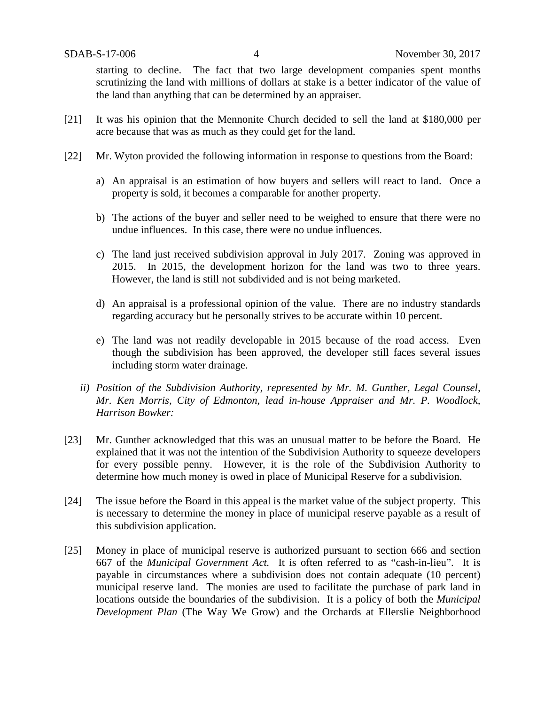starting to decline. The fact that two large development companies spent months scrutinizing the land with millions of dollars at stake is a better indicator of the value of the land than anything that can be determined by an appraiser.

- [21] It was his opinion that the Mennonite Church decided to sell the land at \$180,000 per acre because that was as much as they could get for the land.
- [22] Mr. Wyton provided the following information in response to questions from the Board:
	- a) An appraisal is an estimation of how buyers and sellers will react to land. Once a property is sold, it becomes a comparable for another property.
	- b) The actions of the buyer and seller need to be weighed to ensure that there were no undue influences. In this case, there were no undue influences.
	- c) The land just received subdivision approval in July 2017. Zoning was approved in 2015. In 2015, the development horizon for the land was two to three years. However, the land is still not subdivided and is not being marketed.
	- d) An appraisal is a professional opinion of the value. There are no industry standards regarding accuracy but he personally strives to be accurate within 10 percent.
	- e) The land was not readily developable in 2015 because of the road access. Even though the subdivision has been approved, the developer still faces several issues including storm water drainage.
	- *ii) Position of the Subdivision Authority, represented by Mr. M. Gunther, Legal Counsel, Mr. Ken Morris, City of Edmonton, lead in-house Appraiser and Mr. P. Woodlock, Harrison Bowker:*
- [23] Mr. Gunther acknowledged that this was an unusual matter to be before the Board. He explained that it was not the intention of the Subdivision Authority to squeeze developers for every possible penny. However, it is the role of the Subdivision Authority to determine how much money is owed in place of Municipal Reserve for a subdivision.
- [24] The issue before the Board in this appeal is the market value of the subject property. This is necessary to determine the money in place of municipal reserve payable as a result of this subdivision application.
- [25] Money in place of municipal reserve is authorized pursuant to section 666 and section 667 of the *Municipal Government Act.* It is often referred to as "cash-in-lieu". It is payable in circumstances where a subdivision does not contain adequate (10 percent) municipal reserve land. The monies are used to facilitate the purchase of park land in locations outside the boundaries of the subdivision. It is a policy of both the *Municipal Development Plan* (The Way We Grow) and the Orchards at Ellerslie Neighborhood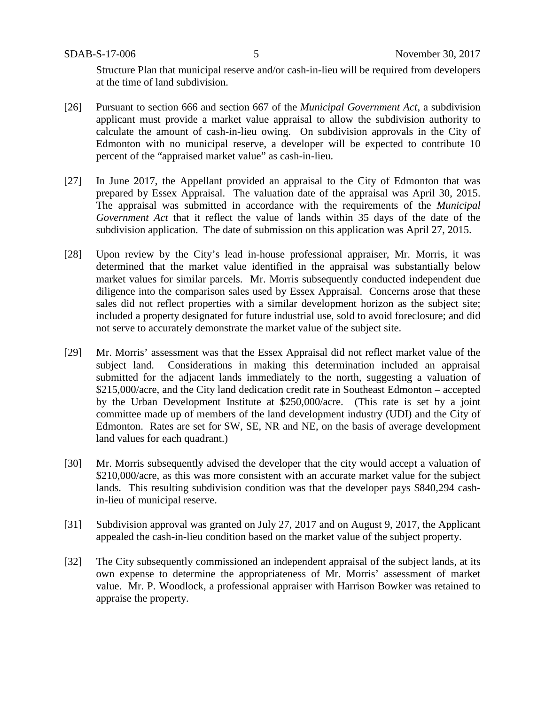Structure Plan that municipal reserve and/or cash-in-lieu will be required from developers at the time of land subdivision.

- [26] Pursuant to section 666 and section 667 of the *Municipal Government Act*, a subdivision applicant must provide a market value appraisal to allow the subdivision authority to calculate the amount of cash-in-lieu owing. On subdivision approvals in the City of Edmonton with no municipal reserve, a developer will be expected to contribute 10 percent of the "appraised market value" as cash-in-lieu.
- [27] In June 2017, the Appellant provided an appraisal to the City of Edmonton that was prepared by Essex Appraisal. The valuation date of the appraisal was April 30, 2015. The appraisal was submitted in accordance with the requirements of the *Municipal Government Act* that it reflect the value of lands within 35 days of the date of the subdivision application. The date of submission on this application was April 27, 2015.
- [28] Upon review by the City's lead in-house professional appraiser, Mr. Morris, it was determined that the market value identified in the appraisal was substantially below market values for similar parcels. Mr. Morris subsequently conducted independent due diligence into the comparison sales used by Essex Appraisal. Concerns arose that these sales did not reflect properties with a similar development horizon as the subject site; included a property designated for future industrial use, sold to avoid foreclosure; and did not serve to accurately demonstrate the market value of the subject site.
- [29] Mr. Morris' assessment was that the Essex Appraisal did not reflect market value of the subject land. Considerations in making this determination included an appraisal submitted for the adjacent lands immediately to the north, suggesting a valuation of \$215,000/acre, and the City land dedication credit rate in Southeast Edmonton – accepted by the Urban Development Institute at \$250,000/acre. (This rate is set by a joint committee made up of members of the land development industry (UDI) and the City of Edmonton. Rates are set for SW, SE, NR and NE, on the basis of average development land values for each quadrant.)
- [30] Mr. Morris subsequently advised the developer that the city would accept a valuation of \$210,000/acre, as this was more consistent with an accurate market value for the subject lands. This resulting subdivision condition was that the developer pays \$840,294 cashin-lieu of municipal reserve.
- [31] Subdivision approval was granted on July 27, 2017 and on August 9, 2017, the Applicant appealed the cash-in-lieu condition based on the market value of the subject property.
- [32] The City subsequently commissioned an independent appraisal of the subject lands, at its own expense to determine the appropriateness of Mr. Morris' assessment of market value. Mr. P. Woodlock, a professional appraiser with Harrison Bowker was retained to appraise the property.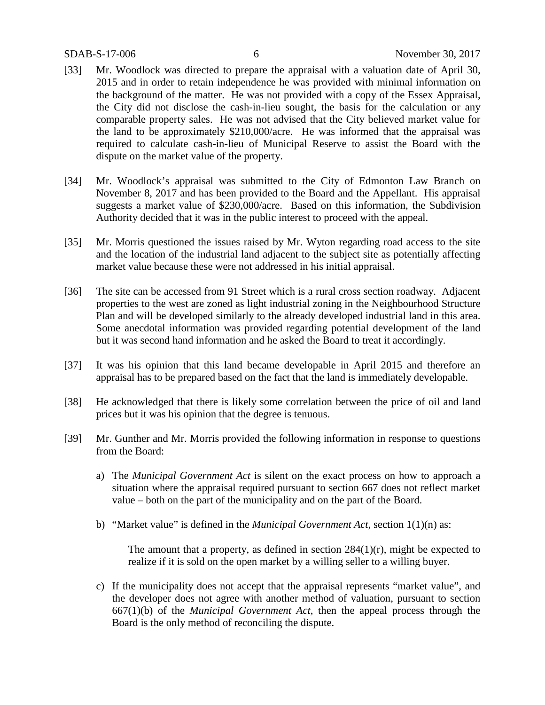- [33] Mr. Woodlock was directed to prepare the appraisal with a valuation date of April 30, 2015 and in order to retain independence he was provided with minimal information on the background of the matter. He was not provided with a copy of the Essex Appraisal, the City did not disclose the cash-in-lieu sought, the basis for the calculation or any comparable property sales. He was not advised that the City believed market value for the land to be approximately \$210,000/acre. He was informed that the appraisal was required to calculate cash-in-lieu of Municipal Reserve to assist the Board with the dispute on the market value of the property.
- [34] Mr. Woodlock's appraisal was submitted to the City of Edmonton Law Branch on November 8, 2017 and has been provided to the Board and the Appellant. His appraisal suggests a market value of \$230,000/acre. Based on this information, the Subdivision Authority decided that it was in the public interest to proceed with the appeal.
- [35] Mr. Morris questioned the issues raised by Mr. Wyton regarding road access to the site and the location of the industrial land adjacent to the subject site as potentially affecting market value because these were not addressed in his initial appraisal.
- [36] The site can be accessed from 91 Street which is a rural cross section roadway. Adjacent properties to the west are zoned as light industrial zoning in the Neighbourhood Structure Plan and will be developed similarly to the already developed industrial land in this area. Some anecdotal information was provided regarding potential development of the land but it was second hand information and he asked the Board to treat it accordingly.
- [37] It was his opinion that this land became developable in April 2015 and therefore an appraisal has to be prepared based on the fact that the land is immediately developable.
- [38] He acknowledged that there is likely some correlation between the price of oil and land prices but it was his opinion that the degree is tenuous.
- [39] Mr. Gunther and Mr. Morris provided the following information in response to questions from the Board:
	- a) The *Municipal Government Act* is silent on the exact process on how to approach a situation where the appraisal required pursuant to section 667 does not reflect market value – both on the part of the municipality and on the part of the Board.
	- b) "Market value" is defined in the *Municipal Government Act*, section 1(1)(n) as:

The amount that a property, as defined in section 284(1)(r), might be expected to realize if it is sold on the open market by a willing seller to a willing buyer.

c) If the municipality does not accept that the appraisal represents "market value", and the developer does not agree with another method of valuation, pursuant to section 667(1)(b) of the *Municipal Government Act*, then the appeal process through the Board is the only method of reconciling the dispute.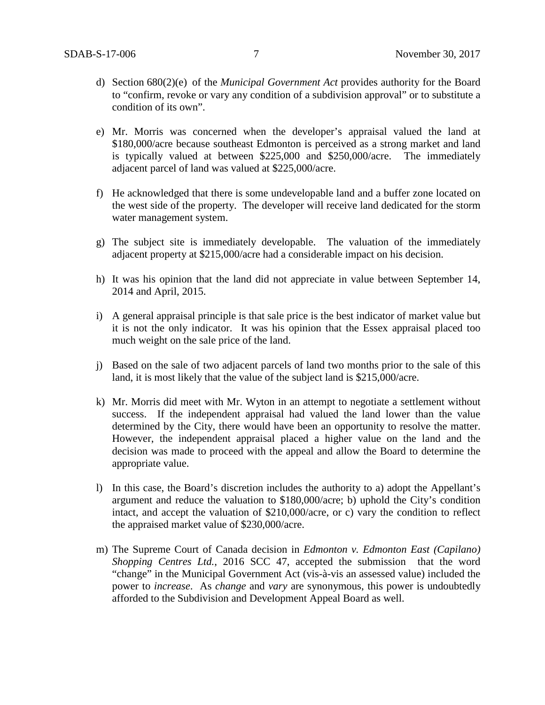- d) Section 680(2)(e) of the *Municipal Government Act* provides authority for the Board to "confirm, revoke or vary any condition of a subdivision approval" or to substitute a condition of its own".
- e) Mr. Morris was concerned when the developer's appraisal valued the land at \$180,000/acre because southeast Edmonton is perceived as a strong market and land is typically valued at between \$225,000 and \$250,000/acre. The immediately adjacent parcel of land was valued at \$225,000/acre.
- f) He acknowledged that there is some undevelopable land and a buffer zone located on the west side of the property. The developer will receive land dedicated for the storm water management system.
- g) The subject site is immediately developable. The valuation of the immediately adjacent property at \$215,000/acre had a considerable impact on his decision.
- h) It was his opinion that the land did not appreciate in value between September 14, 2014 and April, 2015.
- i) A general appraisal principle is that sale price is the best indicator of market value but it is not the only indicator. It was his opinion that the Essex appraisal placed too much weight on the sale price of the land.
- j) Based on the sale of two adjacent parcels of land two months prior to the sale of this land, it is most likely that the value of the subject land is \$215,000/acre.
- k) Mr. Morris did meet with Mr. Wyton in an attempt to negotiate a settlement without success. If the independent appraisal had valued the land lower than the value determined by the City, there would have been an opportunity to resolve the matter. However, the independent appraisal placed a higher value on the land and the decision was made to proceed with the appeal and allow the Board to determine the appropriate value.
- l) In this case, the Board's discretion includes the authority to a) adopt the Appellant's argument and reduce the valuation to \$180,000/acre; b) uphold the City's condition intact, and accept the valuation of \$210,000/acre, or c) vary the condition to reflect the appraised market value of \$230,000/acre.
- m) The Supreme Court of Canada decision in *Edmonton v. Edmonton East (Capilano) Shopping Centres Ltd.*, 2016 SCC 47, accepted the submission that the word "change" in the Municipal Government Act (vis-à-vis an assessed value) included the power to *increase*. As *change* and *vary* are synonymous, this power is undoubtedly afforded to the Subdivision and Development Appeal Board as well.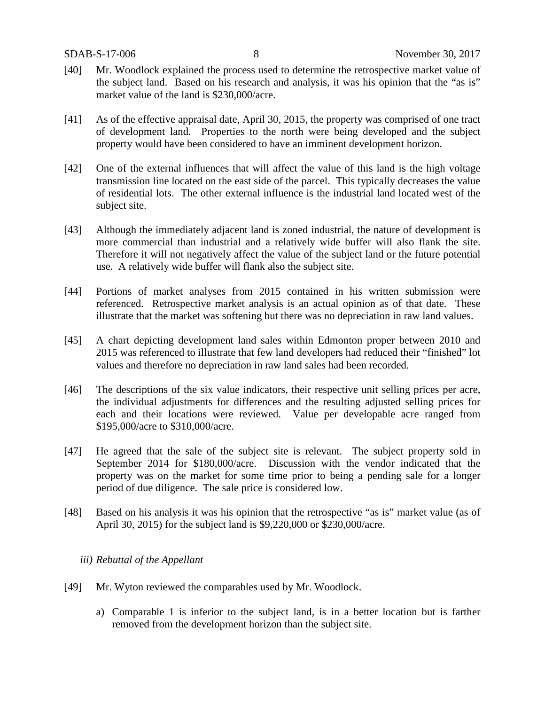- [40] Mr. Woodlock explained the process used to determine the retrospective market value of the subject land. Based on his research and analysis, it was his opinion that the "as is" market value of the land is \$230,000/acre.
- [41] As of the effective appraisal date, April 30, 2015, the property was comprised of one tract of development land. Properties to the north were being developed and the subject property would have been considered to have an imminent development horizon.
- [42] One of the external influences that will affect the value of this land is the high voltage transmission line located on the east side of the parcel. This typically decreases the value of residential lots. The other external influence is the industrial land located west of the subject site.
- [43] Although the immediately adjacent land is zoned industrial, the nature of development is more commercial than industrial and a relatively wide buffer will also flank the site. Therefore it will not negatively affect the value of the subject land or the future potential use. A relatively wide buffer will flank also the subject site.
- [44] Portions of market analyses from 2015 contained in his written submission were referenced. Retrospective market analysis is an actual opinion as of that date. These illustrate that the market was softening but there was no depreciation in raw land values.
- [45] A chart depicting development land sales within Edmonton proper between 2010 and 2015 was referenced to illustrate that few land developers had reduced their "finished" lot values and therefore no depreciation in raw land sales had been recorded.
- [46] The descriptions of the six value indicators, their respective unit selling prices per acre, the individual adjustments for differences and the resulting adjusted selling prices for each and their locations were reviewed. Value per developable acre ranged from \$195,000/acre to \$310,000/acre.
- [47] He agreed that the sale of the subject site is relevant. The subject property sold in September 2014 for \$180,000/acre. Discussion with the vendor indicated that the property was on the market for some time prior to being a pending sale for a longer period of due diligence. The sale price is considered low.
- [48] Based on his analysis it was his opinion that the retrospective "as is" market value (as of April 30, 2015) for the subject land is \$9,220,000 or \$230,000/acre.

#### *iii) Rebuttal of the Appellant*

- [49] Mr. Wyton reviewed the comparables used by Mr. Woodlock.
	- a) Comparable 1 is inferior to the subject land, is in a better location but is farther removed from the development horizon than the subject site.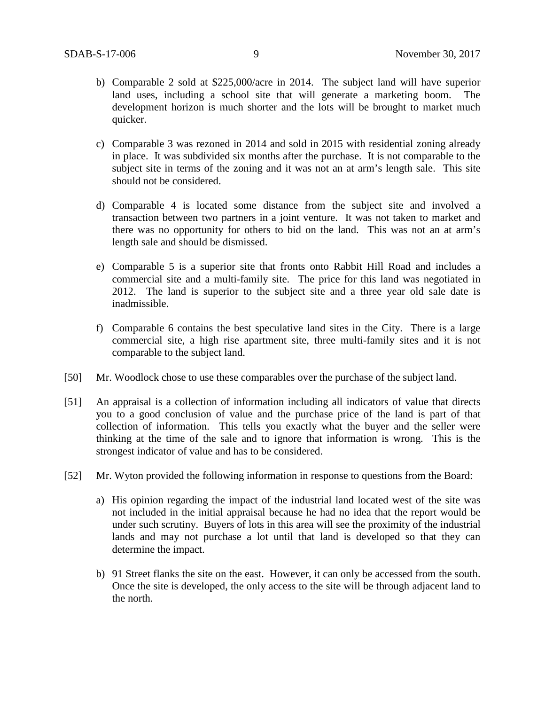- b) Comparable 2 sold at \$225,000/acre in 2014. The subject land will have superior land uses, including a school site that will generate a marketing boom. The development horizon is much shorter and the lots will be brought to market much quicker.
- c) Comparable 3 was rezoned in 2014 and sold in 2015 with residential zoning already in place. It was subdivided six months after the purchase. It is not comparable to the subject site in terms of the zoning and it was not an at arm's length sale. This site should not be considered.
- d) Comparable 4 is located some distance from the subject site and involved a transaction between two partners in a joint venture. It was not taken to market and there was no opportunity for others to bid on the land. This was not an at arm's length sale and should be dismissed.
- e) Comparable 5 is a superior site that fronts onto Rabbit Hill Road and includes a commercial site and a multi-family site. The price for this land was negotiated in 2012. The land is superior to the subject site and a three year old sale date is inadmissible.
- f) Comparable 6 contains the best speculative land sites in the City. There is a large commercial site, a high rise apartment site, three multi-family sites and it is not comparable to the subject land.
- [50] Mr. Woodlock chose to use these comparables over the purchase of the subject land.
- [51] An appraisal is a collection of information including all indicators of value that directs you to a good conclusion of value and the purchase price of the land is part of that collection of information. This tells you exactly what the buyer and the seller were thinking at the time of the sale and to ignore that information is wrong. This is the strongest indicator of value and has to be considered.
- [52] Mr. Wyton provided the following information in response to questions from the Board:
	- a) His opinion regarding the impact of the industrial land located west of the site was not included in the initial appraisal because he had no idea that the report would be under such scrutiny. Buyers of lots in this area will see the proximity of the industrial lands and may not purchase a lot until that land is developed so that they can determine the impact.
	- b) 91 Street flanks the site on the east. However, it can only be accessed from the south. Once the site is developed, the only access to the site will be through adjacent land to the north.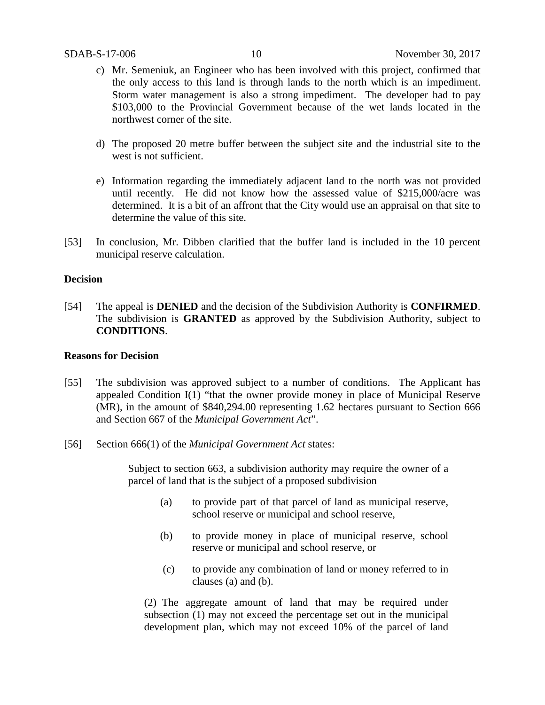- c) Mr. Semeniuk, an Engineer who has been involved with this project, confirmed that the only access to this land is through lands to the north which is an impediment. Storm water management is also a strong impediment. The developer had to pay \$103,000 to the Provincial Government because of the wet lands located in the northwest corner of the site.
- d) The proposed 20 metre buffer between the subject site and the industrial site to the west is not sufficient.
- e) Information regarding the immediately adjacent land to the north was not provided until recently. He did not know how the assessed value of \$215,000/acre was determined. It is a bit of an affront that the City would use an appraisal on that site to determine the value of this site.
- [53] In conclusion, Mr. Dibben clarified that the buffer land is included in the 10 percent municipal reserve calculation.

## **Decision**

[54] The appeal is **DENIED** and the decision of the Subdivision Authority is **CONFIRMED**. The subdivision is **GRANTED** as approved by the Subdivision Authority, subject to **CONDITIONS**.

## **Reasons for Decision**

- [55] The subdivision was approved subject to a number of conditions. The Applicant has appealed Condition I(1) "that the owner provide money in place of Municipal Reserve (MR), in the amount of \$840,294.00 representing 1.62 hectares pursuant to Section 666 and Section 667 of the *Municipal Government Act*".
- [56] Section 666(1) of the *Municipal Government Act* states:

Subject to section 663, a subdivision authority may require the owner of a parcel of land that is the subject of a proposed subdivision

- (a) to provide part of that parcel of land as municipal reserve, school reserve or municipal and school reserve,
- (b) to provide money in place of municipal reserve, school reserve or municipal and school reserve, or
- (c) to provide any combination of land or money referred to in clauses (a) and (b).

(2) The aggregate amount of land that may be required under subsection (1) may not exceed the percentage set out in the municipal development plan, which may not exceed 10% of the parcel of land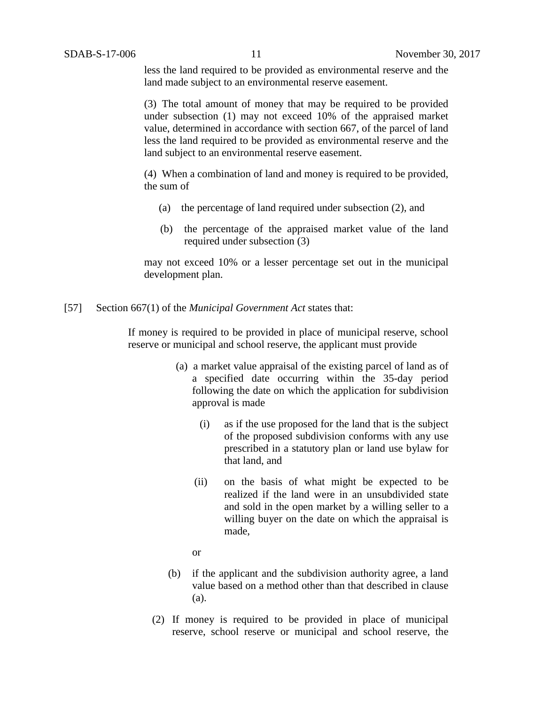less the land required to be provided as environmental reserve and the land made subject to an environmental reserve easement.

(3) The total amount of money that may be required to be provided under subsection (1) may not exceed 10% of the appraised market value, determined in accordance with section 667, of the parcel of land less the land required to be provided as environmental reserve and the land subject to an environmental reserve easement.

(4) When a combination of land and money is required to be provided, the sum of

- (a) the percentage of land required under subsection (2), and
- (b) the percentage of the appraised market value of the land required under subsection (3)

may not exceed 10% or a lesser percentage set out in the municipal development plan.

#### [57] Section 667(1) of the *Municipal Government Act* states that:

If money is required to be provided in place of municipal reserve, school reserve or municipal and school reserve, the applicant must provide

- (a) a market value appraisal of the existing parcel of land as of a specified date occurring within the 35-day period following the date on which the application for subdivision approval is made
	- (i) as if the use proposed for the land that is the subject of the proposed subdivision conforms with any use prescribed in a statutory plan or land use bylaw for that land, and
	- (ii) on the basis of what might be expected to be realized if the land were in an unsubdivided state and sold in the open market by a willing seller to a willing buyer on the date on which the appraisal is made,
	- or
- (b) if the applicant and the subdivision authority agree, a land value based on a method other than that described in clause (a).
- (2) If money is required to be provided in place of municipal reserve, school reserve or municipal and school reserve, the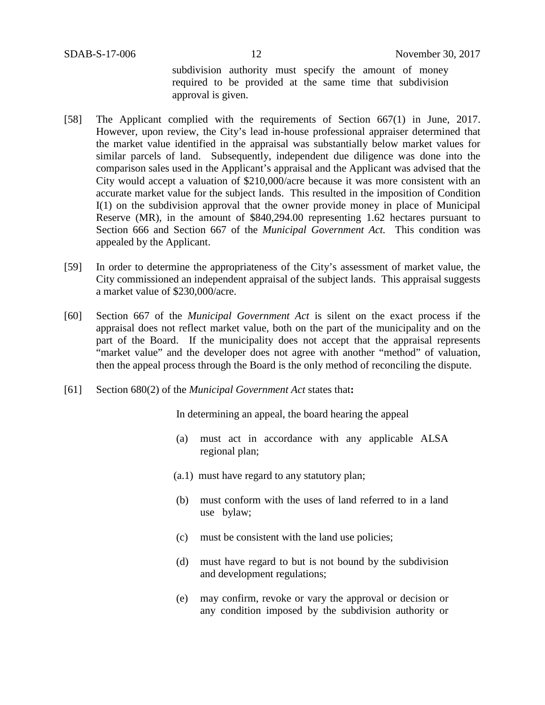subdivision authority must specify the amount of money required to be provided at the same time that subdivision approval is given.

- [58] The Applicant complied with the requirements of Section 667(1) in June, 2017. However, upon review, the City's lead in-house professional appraiser determined that the market value identified in the appraisal was substantially below market values for similar parcels of land. Subsequently, independent due diligence was done into the comparison sales used in the Applicant's appraisal and the Applicant was advised that the City would accept a valuation of \$210,000/acre because it was more consistent with an accurate market value for the subject lands. This resulted in the imposition of Condition I(1) on the subdivision approval that the owner provide money in place of Municipal Reserve (MR), in the amount of \$840,294.00 representing 1.62 hectares pursuant to Section 666 and Section 667 of the *Municipal Government Act.* This condition was appealed by the Applicant.
- [59] In order to determine the appropriateness of the City's assessment of market value, the City commissioned an independent appraisal of the subject lands. This appraisal suggests a market value of \$230,000/acre.
- [60] Section 667 of the *Municipal Government Act* is silent on the exact process if the appraisal does not reflect market value, both on the part of the municipality and on the part of the Board. If the municipality does not accept that the appraisal represents "market value" and the developer does not agree with another "method" of valuation, then the appeal process through the Board is the only method of reconciling the dispute.
- [61] Section 680(2) of the *Municipal Government Act* states that**:**

In determining an appeal, the board hearing the appeal

- (a) must act in accordance with any applicable ALSA regional plan;
- (a.1) must have regard to any statutory plan;
- (b) must conform with the uses of land referred to in a land use bylaw;
- (c) must be consistent with the land use policies;
- (d) must have regard to but is not bound by the subdivision and development regulations;
- (e) may confirm, revoke or vary the approval or decision or any condition imposed by the subdivision authority or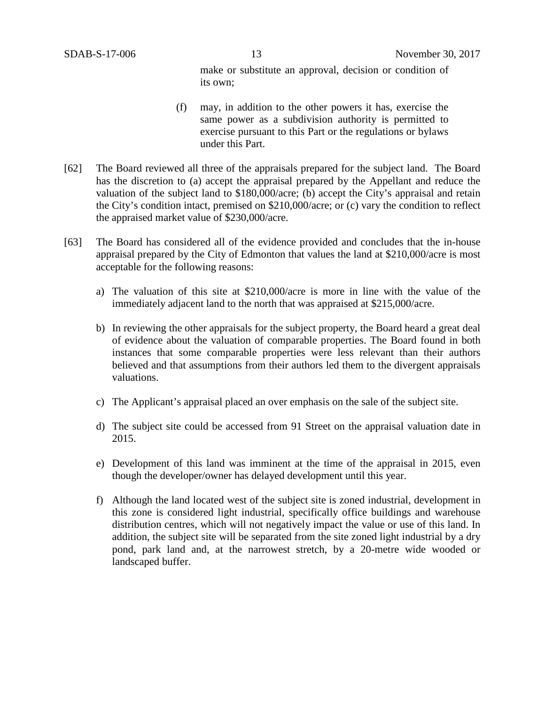make or substitute an approval, decision or condition of its own;

- (f) may, in addition to the other powers it has, exercise the same power as a subdivision authority is permitted to exercise pursuant to this Part or the regulations or bylaws under this Part.
- [62] The Board reviewed all three of the appraisals prepared for the subject land. The Board has the discretion to (a) accept the appraisal prepared by the Appellant and reduce the valuation of the subject land to \$180,000/acre; (b) accept the City's appraisal and retain the City's condition intact, premised on \$210,000/acre; or (c) vary the condition to reflect the appraised market value of \$230,000/acre.
- [63] The Board has considered all of the evidence provided and concludes that the in-house appraisal prepared by the City of Edmonton that values the land at \$210,000/acre is most acceptable for the following reasons:
	- a) The valuation of this site at \$210,000/acre is more in line with the value of the immediately adjacent land to the north that was appraised at \$215,000/acre.
	- b) In reviewing the other appraisals for the subject property, the Board heard a great deal of evidence about the valuation of comparable properties. The Board found in both instances that some comparable properties were less relevant than their authors believed and that assumptions from their authors led them to the divergent appraisals valuations.
	- c) The Applicant's appraisal placed an over emphasis on the sale of the subject site.
	- d) The subject site could be accessed from 91 Street on the appraisal valuation date in 2015.
	- e) Development of this land was imminent at the time of the appraisal in 2015, even though the developer/owner has delayed development until this year.
	- f) Although the land located west of the subject site is zoned industrial, development in this zone is considered light industrial, specifically office buildings and warehouse distribution centres, which will not negatively impact the value or use of this land. In addition, the subject site will be separated from the site zoned light industrial by a dry pond, park land and, at the narrowest stretch, by a 20-metre wide wooded or landscaped buffer.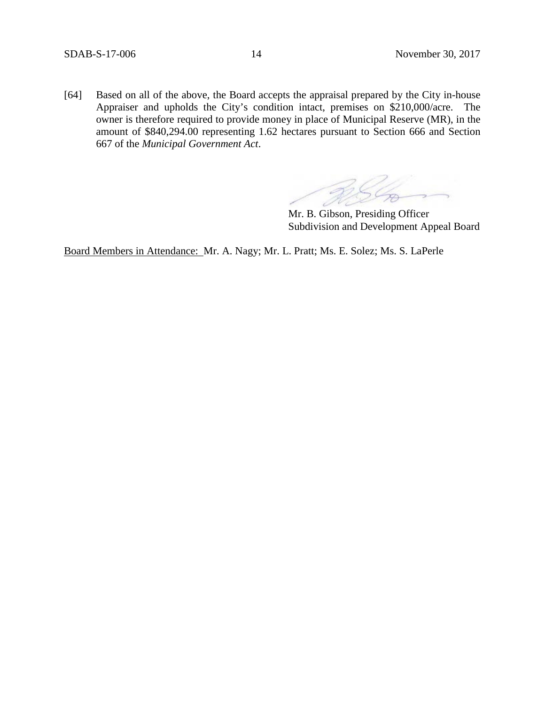[64] Based on all of the above, the Board accepts the appraisal prepared by the City in-house Appraiser and upholds the City's condition intact, premises on \$210,000/acre. The owner is therefore required to provide money in place of Municipal Reserve (MR), in the amount of \$840,294.00 representing 1.62 hectares pursuant to Section 666 and Section 667 of the *Municipal Government Act*.

Mr. B. Gibson, Presiding Officer Subdivision and Development Appeal Board

Board Members in Attendance: Mr. A. Nagy; Mr. L. Pratt; Ms. E. Solez; Ms. S. LaPerle